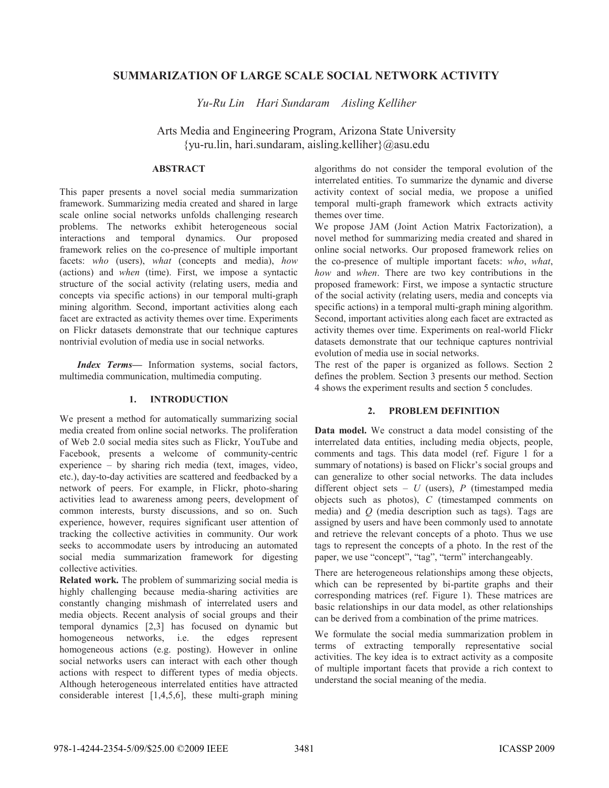# **SUMMARIZATION OF LARGE SCALE SOCIAL NETWORK ACTIVITY**

*Yu-Ru Lin Hari Sundaram Aisling Kelliher* 

Arts Media and Engineering Program, Arizona State University {yu-ru.lin, hari.sundaram, aisling.kelliher}@asu.edu

# **ABSTRACT**

This paper presents a novel social media summarization framework. Summarizing media created and shared in large scale online social networks unfolds challenging research problems. The networks exhibit heterogeneous social interactions and temporal dynamics. Our proposed framework relies on the co-presence of multiple important facets: *who* (users), *what* (concepts and media), *how* (actions) and *when* (time). First, we impose a syntactic structure of the social activity (relating users, media and concepts via specific actions) in our temporal multi-graph mining algorithm. Second, important activities along each facet are extracted as activity themes over time. Experiments on Flickr datasets demonstrate that our technique captures nontrivial evolution of media use in social networks.

*Index Terms—* Information systems, social factors, multimedia communication, multimedia computing.

# **1. INTRODUCTION**

We present a method for automatically summarizing social media created from online social networks. The proliferation of Web 2.0 social media sites such as Flickr, YouTube and Facebook, presents a welcome of community-centric experience – by sharing rich media (text, images, video, etc.), day-to-day activities are scattered and feedbacked by a network of peers. For example, in Flickr, photo-sharing activities lead to awareness among peers, development of common interests, bursty discussions, and so on. Such experience, however, requires significant user attention of tracking the collective activities in community. Our work seeks to accommodate users by introducing an automated social media summarization framework for digesting collective activities.

**Related work.** The problem of summarizing social media is highly challenging because media-sharing activities are constantly changing mishmash of interrelated users and media objects. Recent analysis of social groups and their temporal dynamics [2,3] has focused on dynamic but homogeneous networks, i.e. the edges represent homogeneous actions (e.g. posting). However in online social networks users can interact with each other though actions with respect to different types of media objects. Although heterogeneous interrelated entities have attracted considerable interest [1,4,5,6], these multi-graph mining

algorithms do not consider the temporal evolution of the interrelated entities. To summarize the dynamic and diverse activity context of social media, we propose a unified temporal multi-graph framework which extracts activity themes over time.

We propose JAM (Joint Action Matrix Factorization), a novel method for summarizing media created and shared in online social networks. Our proposed framework relies on the co-presence of multiple important facets: *who*, *what*, *how* and *when*. There are two key contributions in the proposed framework: First, we impose a syntactic structure of the social activity (relating users, media and concepts via specific actions) in a temporal multi-graph mining algorithm. Second, important activities along each facet are extracted as activity themes over time. Experiments on real-world Flickr datasets demonstrate that our technique captures nontrivial evolution of media use in social networks.

The rest of the paper is organized as follows. Section 2 defines the problem. Section 3 presents our method. Section 4 shows the experiment results and section 5 concludes.

# **2. PROBLEM DEFINITION**

**Data model.** We construct a data model consisting of the interrelated data entities, including media objects, people, comments and tags. This data model (ref. Figure 1 for a summary of notations) is based on Flickr's social groups and can generalize to other social networks. The data includes different object sets – *U* (users), *P* (timestamped media objects such as photos), *C* (timestamped comments on media) and *Q* (media description such as tags). Tags are assigned by users and have been commonly used to annotate and retrieve the relevant concepts of a photo. Thus we use tags to represent the concepts of a photo. In the rest of the paper, we use "concept", "tag", "term" interchangeably.

There are heterogeneous relationships among these objects, which can be represented by bi-partite graphs and their corresponding matrices (ref. Figure 1). These matrices are basic relationships in our data model, as other relationships can be derived from a combination of the prime matrices.

We formulate the social media summarization problem in terms of extracting temporally representative social activities. The key idea is to extract activity as a composite of multiple important facets that provide a rich context to understand the social meaning of the media.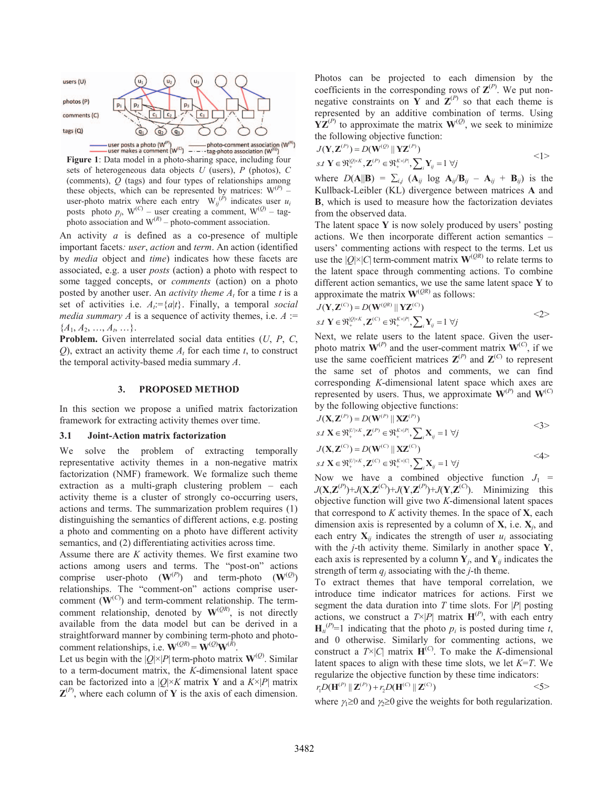

**Figure 1**: Data model in a photo-sharing space, including four **Figure 1**: Data model in a photo-sharing space, including four sets of heterogeneous data objects *U* (users), *P* (photos), *C* (comments), *Q* (tags) and four types of relationships among these objects, which can be represented by matrices:  $W^{(P)}$  – user-photo matrix where each entry  $W_{ij}^{(P)}$  indicates user  $u_i$ posts photo  $p_i$ , W<sup>(C)</sup> – user creating a comment, W<sup>(Q)</sup> – tagphoto association and  $W^{(R)}$  – photo-comment association.

An activity *a* is defined as a co-presence of multiple important facets*: user*, *action* and *term*. An action (identified by *media* object and *time*) indicates how these facets are associated, e.g. a user *posts* (action) a photo with respect to some tagged concepts, or *comments* (action) on a photo posted by another user. An *activity theme*  $A_t$  for a time *t* is a set of activities i.e.  $A_t = \{a | t\}$ . Finally, a temporal *social media summary A* is a sequence of activity themes, i.e.  $A$  :=  ${A_1, A_2, ..., A_t, ...}.$ 

**Problem.** Given interrelated social data entities (*U*, *P*, *C*, *Q*), extract an activity theme  $A_t$  for each time *t*, to construct the temporal activity-based media summary *A*.

### **3. PROPOSED METHOD**

In this section we propose a unified matrix factorization framework for extracting activity themes over time.

#### **3.1 Joint-Action matrix factorization**

We solve the problem of extracting temporally representative activity themes in a non-negative matrix factorization (NMF) framework. We formalize such theme extraction as a multi-graph clustering problem – each activity theme is a cluster of strongly co-occurring users, actions and terms. The summarization problem requires (1) distinguishing the semantics of different actions, e.g. posting a photo and commenting on a photo have different activity semantics, and (2) differentiating activities across time.

Assume there are *K* activity themes. We first examine two actions among users and terms. The "post-on" actions comprise user-photo  $(\mathbf{W}^{(P)})$  and term-photo  $(\mathbf{W}^{(Q)})$ relationships. The "comment-on" actions comprise usercomment  $(\mathbf{W}^{(C)})$  and term-comment relationship. The termcomment relationship, denoted by  $W^{(QR)}$ , is not directly available from the data model but can be derived in a straightforward manner by combining term-photo and photocomment relationships, i.e.  $\mathbf{W}^{(QR)} = \mathbf{W}^{(Q)} \mathbf{W}^{(\bar{R})}$ .

Let us begin with the  $|Q| \times |P|$  term-photo matrix  $\mathbf{W}^{(Q)}$ . Similar to a term-document matrix, the *K*-dimensional latent space can be factorized into a  $|Q| \times K$  matrix Y and a  $K \times |P|$  matrix  $\mathbf{Z}^{(P)}$ , where each column of **Y** is the axis of each dimension. Photos can be projected to each dimension by the coefficients in the corresponding rows of  $\mathbf{Z}^{(P)}$ . We put nonnegative constraints on **Y** and  $\mathbf{Z}^{(P)}$  so that each theme is represented by an additive combination of terms. Using  $\mathbf{YZ}^{(P)}$  to approximate the matrix  $\mathbf{W}^{(Q)}$ , we seek to minimize the following objective function:

$$
J(\mathbf{Y}, \mathbf{Z}^{(P)}) = D(\mathbf{W}^{(Q)} \parallel \mathbf{Y} \mathbf{Z}^{(P)})
$$
  
s.t  $\mathbf{Y} \in \mathfrak{R}_+^{[Q] \times K}, \mathbf{Z}^{(P)} \in \mathfrak{R}_+^{K \times |P|}, \sum_i \mathbf{Y}_{ij} = 1 \ \forall j$   $\langle 1 \rangle$ 

where  $D(A||B) = \sum_{i,j} (A_{ij} \log A_{ij}/B_{ij} - A_{ij} + B_{ij})$  is the Kullback-Leibler (KL) divergence between matrices **A** and **B**, which is used to measure how the factorization deviates from the observed data.

The latent space **Y** is now solely produced by users' posting actions. We then incorporate different action semantics – users' commenting actions with respect to the terms. Let us use the  $|Q| \times |C|$  term-comment matrix  $\mathbf{W}^{(QR)}$  to relate terms to the latent space through commenting actions. To combine different action semantics, we use the same latent space **Y** to approximate the matrix  $W^{(QR)}$  as follows:

$$
J(\mathbf{Y}, \mathbf{Z}^{(C)}) = D(\mathbf{W}^{(QR)} || \mathbf{Y} \mathbf{Z}^{(C)})
$$
  
s.t  $\mathbf{Y} \in \mathfrak{R}_{+}^{|Q| \times K}, \mathbf{Z}^{(C)} \in \mathfrak{R}_{+}^{K \times |P|}, \sum_{i} \mathbf{Y}_{ij} = 1 \ \forall j$ 

Next, we relate users to the latent space. Given the userphoto matrix  $\mathbf{W}^{(P)}$  and the user-comment matrix  $\mathbf{W}^{(C)}$ , if we use the same coefficient matrices  $\mathbf{Z}^{(P)}$  and  $\mathbf{Z}^{(C)}$  to represent the same set of photos and comments, we can find corresponding *K*-dimensional latent space which axes are represented by users. Thus, we approximate  $W^{(P)}$  and  $W^{(C)}$ by the following objective functions:

$$
J(\mathbf{X}, \mathbf{Z}^{(P)}) = D(\mathbf{W}^{(P)} \parallel \mathbf{X} \mathbf{Z}^{(P)})
$$
  
s.t  $\mathbf{X} \in \mathfrak{R}_+^{|U| \times K}, \mathbf{Z}^{(P)} \in \mathfrak{R}_+^{K \times |P|}, \sum_i \mathbf{X}_{ij} = 1 \ \forall j$ 

$$
J(\mathbf{X}, \mathbf{Z}^{(C)}) = D(\mathbf{W}^{(C)} \parallel \mathbf{X} \mathbf{Z}^{(C)})
$$
  
s.t  $\mathbf{X} \in \mathfrak{R}_+^{|U| \times K}, \mathbf{Z}^{(C)} \in \mathfrak{R}_+^{K \times |C|}, \sum_i \mathbf{X}_{ij} = 1 \ \forall j$ 

Now we have a combined objective function  $J_1$  =  $J(\mathbf{X}, \mathbf{Z}^{(P)}) + J(\mathbf{X}, \mathbf{Z}^{(C)}) + J(\mathbf{Y}, \mathbf{Z}^{(P)}) + J(\mathbf{Y}, \mathbf{Z}^{(C)})$ . Minimizing this objective function will give two *K*-dimensional latent spaces that correspond to *K* activity themes. In the space of **X**, each dimension axis is represented by a column of **X**, i.e. **X***j*, and each entry  $X_{ij}$  indicates the strength of user  $u_i$  associating with the *j*-th activity theme. Similarly in another space **Y**, each axis is represented by a column  $Y_i$ , and  $Y_i$  indicates the strength of term  $q_i$  associating with the *j*-th theme.

To extract themes that have temporal correlation, we introduce time indicator matrices for actions. First we segment the data duration into  $T$  time slots. For  $|P|$  posting actions, we construct a  $T \times |P|$  matrix  $H^{(P)}$ , with each entry  $H_{ti}^{(P)}$ =1 indicating that the photo  $p_i$  is posted during time *t*, and 0 otherwise. Similarly for commenting actions, we construct a  $T \times |C|$  matrix  $H^{(C)}$ . To make the *K*-dimensional latent spaces to align with these time slots, we let *K*=*T*. We regularize the objective function by these time indicators:  $r_1 D(\mathbf{H}^{(P)} \mid \mathbf{Z}^{(P)}) + r_2 D(\mathbf{H}^{(C)} \mid \mathbf{Z}^{(C)})$  <5>

where  $\gamma_1 \geq 0$  and  $\gamma_2 \geq 0$  give the weights for both regularization.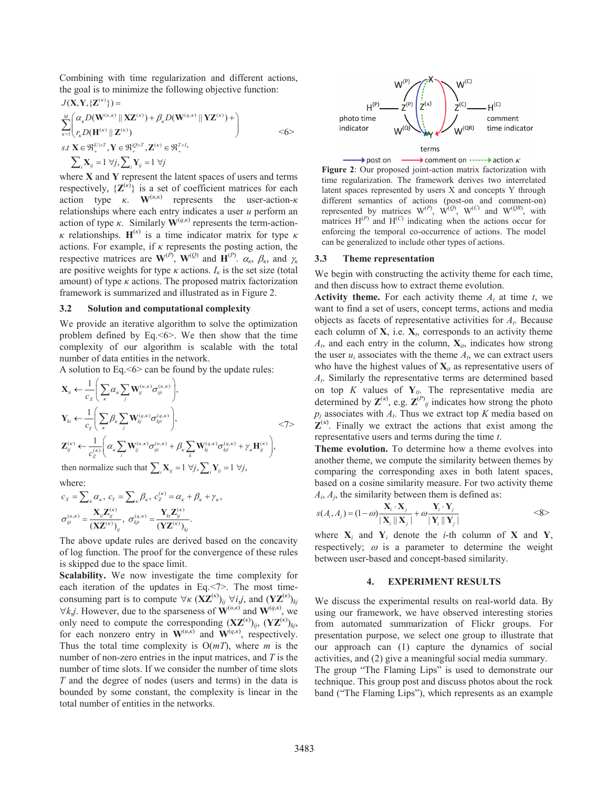Combining with time regularization and different actions, the goal is to minimize the following objective function:

$$
J(\mathbf{X}, \mathbf{Y}, \{\mathbf{Z}^{(\kappa)}\}) =
$$
\n
$$
\sum_{\kappa=1}^{M} \left( \alpha_{\kappa} D(\mathbf{W}^{(u,\kappa)} \|\mathbf{X}\mathbf{Z}^{(\kappa)}) + \beta_{\kappa} D(\mathbf{W}^{(q,\kappa)} \|\mathbf{Y}\mathbf{Z}^{(\kappa)}) + \right)
$$
\n
$$
s.t \mathbf{X} \in \mathfrak{R}_{+}^{|U| \times T}, \mathbf{Y} \in \mathfrak{R}_{+}^{|U| \times T}, \mathbf{Z}^{(\kappa)} \in \mathfrak{R}_{+}^{T \times I_{\kappa}}
$$
\n
$$
\sum_{i} \mathbf{X}_{ij} = 1 \ \forall j, \sum_{i} \mathbf{Y}_{ij} = 1 \ \forall j
$$

where **X** and **Y** represent the latent spaces of users and terms respectively,  $\{Z^{(\kappa)}\}$  is a set of coefficient matrices for each action type  $\kappa$ . **W**<sup>(*u*, $\kappa$ )</sup> represents the user-action- $\kappa$ relationships where each entry indicates a user *u* perform an action of type  $\kappa$ . Similarly  $\mathbf{W}^{(q,\kappa)}$  represents the term-action*κ* relationships.  **is a time indicator matrix for type** *κ* actions. For example, if  $\kappa$  represents the posting action, the respective matrices are  $\mathbf{W}^{(P)}$ ,  $\mathbf{W}^{(Q)}$  and  $\mathbf{H}^{(P)}$ .  $\alpha_{\kappa}, \beta_{\kappa}$ , and  $\gamma_{\kappa}$ are positive weights for type  $\kappa$  actions.  $I_{\kappa}$  is the set size (total amount) of type *κ* actions. The proposed matrix factorization framework is summarized and illustrated as in Figure 2.

#### **3.2 Solution and computational complexity**

We provide an iterative algorithm to solve the optimization problem defined by Eq.  $\leq 6$ . We then show that the time complexity of our algorithm is scalable with the total number of data entities in the network.

A solution to Eq.  $\leq 6$  can be found by the update rules:

$$
\mathbf{X}_{u} \leftarrow \frac{1}{c_{x}} \Bigg( \sum_{\kappa} \alpha_{\kappa} \sum_{j} \mathbf{W}_{ij}^{(u,\kappa)} \sigma_{ijt}^{(u,\kappa)} \Bigg),
$$
\n
$$
\mathbf{Y}_{kt} \leftarrow \frac{1}{c_{y}} \Bigg( \sum_{\kappa} \beta_{\kappa} \sum_{j} \mathbf{W}_{kj}^{(q,\kappa)} \sigma_{kjt}^{(q,\kappa)} \Bigg),
$$
\n
$$
\mathbf{Z}_{ij}^{(\kappa)} \leftarrow \frac{1}{c_{z}^{(\kappa)}} \Bigg( \alpha_{\kappa} \sum_{i} \mathbf{W}_{ij}^{(u,\kappa)} \sigma_{ijt}^{(u,\kappa)} + \beta_{\kappa} \sum_{k} \mathbf{W}_{kj}^{(q,\kappa)} \sigma_{kjt}^{(q,\kappa)} + \gamma_{\kappa} \mathbf{H}_{ij}^{(\kappa)} \Bigg),
$$
\nthen normalize such that  $\sum_{i} \mathbf{X}_{ij} = 1 \ \forall j, \sum_{i} \mathbf{Y}_{ij} = 1 \ \forall j,$ 

where:

$$
c_x = \sum_{\kappa} \alpha_{\kappa}, \ c_y = \sum_{\kappa} \beta_{\kappa}, \ c_z^{(\kappa)} = \alpha_{\kappa} + \beta_{\kappa} + \gamma_{\kappa},
$$

$$
\sigma_{ijt}^{(u,\kappa)} = \frac{\mathbf{X}_{ii} \mathbf{Z}_{ij}^{(\kappa)}}{(\mathbf{X} \mathbf{Z}^{(\kappa)})_{ij}}, \ \sigma_{kjt}^{(q,\kappa)} = \frac{\mathbf{Y}_{kt} \mathbf{Z}_{ij}^{(\kappa)}}{(\mathbf{Y} \mathbf{Z}^{(\kappa)})_{kj}}.
$$

The above update rules are derived based on the concavity of log function. The proof for the convergence of these rules is skipped due to the space limit.

**Scalability.** We now investigate the time complexity for each iteration of the updates in Eq.<7>. The most timeconsuming part is to compute  $\forall \kappa$  (**XZ**<sup>(*κ*)</sup>)<sub>*ij*</sub>  $\forall i,j$ , and (**YZ**<sup>(*κ*)</sup>)<sub>*kj*</sub>  $\forall k, j$ . However, due to the sparseness of  $\mathbf{W}^{(u,\kappa)}$  and  $\mathbf{W}^{(q,\kappa)}$ , we only need to compute the corresponding  $(\mathbf{X}\mathbf{Z}^{(k)})_{ij}$ ,  $(\mathbf{Y}\mathbf{Z}^{(k)})_{kj}$ , for each nonzero entry in  $W^{(u,\vec{k})}$  and  $W^{(q,\vec{k})}$ , respectively. Thus the total time complexity is O(*mT*), where *m* is the number of non-zero entries in the input matrices, and *T* is the number of time slots. If we consider the number of time slots *T* and the degree of nodes (users and terms) in the data is bounded by some constant, the complexity is linear in the total number of entities in the networks.



 $\rightarrow$  post on comment on ------ action  $\kappa$ **Figure 2**: Our proposed joint-action matrix factorization with time regularization. The framework derives two interrelated latent spaces represented by users X and concepts Y through different semantics of actions (post-on and comment-on) represented by matrices  $W^{(P)}$ ,  $W^{(Q)}$ ,  $W^{(C)}$  and  $W^{(QR)}$ , with matrices  $H^{(P)}$  and  $H^{(C)}$  indicating when the actions occur for enforcing the temporal co-occurrence of actions. The model can be generalized to include other types of actions.

#### **3.3 Theme representation**

We begin with constructing the activity theme for each time, and then discuss how to extract theme evolution.

**Activity theme.** For each activity theme  $A_t$  at time  $t$ , we want to find a set of users, concept terms, actions and media objects as facets of representative activities for *At*. Because each column of  $X$ , i.e.  $X_t$ , corresponds to an activity theme  $A_t$ , and each entry in the column,  $\mathbf{X}_{it}$ , indicates how strong the user  $u_i$  associates with the theme  $A_t$ , we can extract users who have the highest values of  $\mathbf{X}_{it}$  as representative users of *At*. Similarly the representative terms are determined based on top *K* values of  $Y_{it}$ . The representative media are determined by  $\mathbf{Z}^{(\kappa)}$ , e.g.  $\mathbf{Z}^{(P)}$ <sub>*tj*</sub> indicates how strong the photo  $p_i$  associates with  $A_i$ . Thus we extract top  $K$  media based on  $\mathbf{Z}^{(\kappa)}$ . Finally we extract the actions that exist among the representative users and terms during the time *t*.

**Theme evolution.** To determine how a theme evolves into another theme, we compute the similarity between themes by comparing the corresponding axes in both latent spaces, based on a cosine similarity measure. For two activity theme  $A_i$ ,  $A_j$ , the similarity between them is defined as:

$$
s(A_i, A_j) = (1 - \omega) \frac{\mathbf{X}_i \cdot \mathbf{X}_j}{|\mathbf{X}_i||\mathbf{X}_j|} + \omega \frac{\mathbf{Y}_i \cdot \mathbf{Y}_j}{|\mathbf{Y}_i||\mathbf{Y}_j|}
$$
  
<8>

where  $X_i$  and  $Y_i$  denote the *i*-th column of X and Y, respectively;  $\omega$  is a parameter to determine the weight between user-based and concept-based similarity.

### **4. EXPERIMENT RESULTS**

We discuss the experimental results on real-world data. By using our framework, we have observed interesting stories from automated summarization of Flickr groups. For presentation purpose, we select one group to illustrate that our approach can (1) capture the dynamics of social activities, and (2) give a meaningful social media summary. The group "The Flaming Lips" is used to demonstrate our technique. This group post and discuss photos about the rock

band ("The Flaming Lips"), which represents as an example